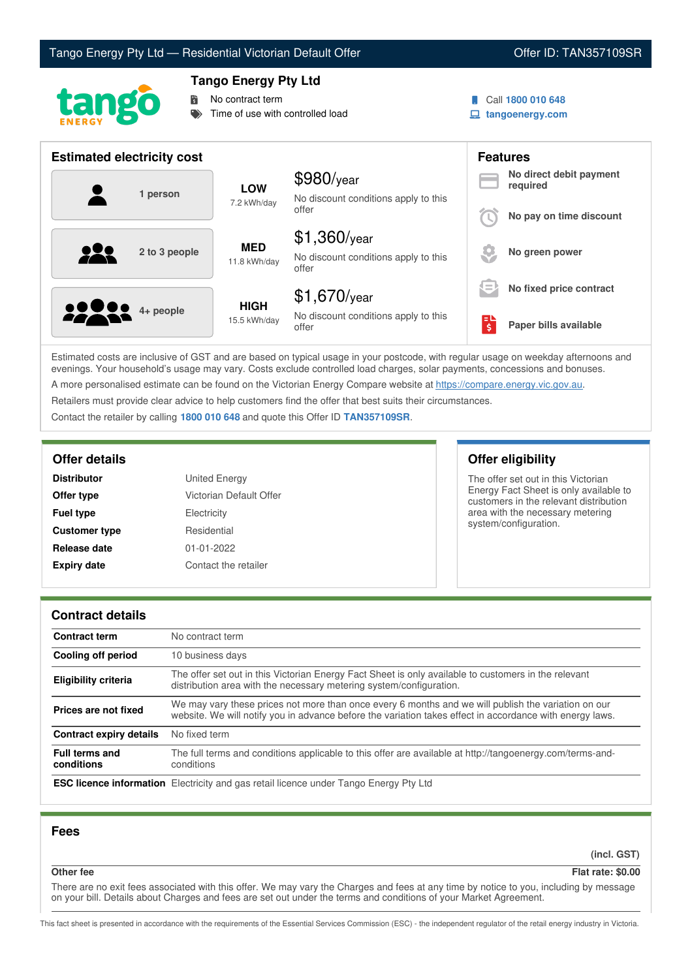# Tango Energy Pty Ltd — Residential Victorian Default Offer **Communist Communist Communist Communist Communist Communist Communist Communist Communist Communist Communist Communist Communist Communist Communist Communist Co**





## **Tango Energy Pty Ltd**

No contract term

Time of use with controlled load

- Call **1800 010 648**
- **tangoenergy.com**

| <b>Estimated electricity cost</b> |                             |                                                                 |                                                  | <b>Features</b>                     |
|-----------------------------------|-----------------------------|-----------------------------------------------------------------|--------------------------------------------------|-------------------------------------|
| 1 person                          | <b>LOW</b><br>7.2 kWh/day   | $$980$ /year<br>No discount conditions apply to this            |                                                  | No direct debit payment<br>required |
|                                   |                             | offer                                                           |                                                  | No pay on time discount             |
| 222<br>2 to 3 people              | <b>MED</b><br>11.8 kWh/day  | $$1,360$ /year<br>No discount conditions apply to this<br>offer |                                                  | No green power                      |
|                                   |                             | $$1,670$ /year                                                  | $\qquad \qquad \blacksquare$<br>$\hspace{0.1mm}$ | No fixed price contract             |
| <b>2000</b> 4+ people             | <b>HIGH</b><br>15.5 kWh/day | No discount conditions apply to this<br>offer                   | $\overline{\boldsymbol{\xi}}$                    | Paper bills available               |

Estimated costs are inclusive of GST and are based on typical usage in your postcode, with regular usage on weekday afternoons and evenings. Your household's usage may vary. Costs exclude controlled load charges, solar payments, concessions and bonuses. A more personalised estimate can be found on the Victorian Energy Compare website at <https://compare.energy.vic.gov.au>.

Retailers must provide clear advice to help customers find the offer that best suits their circumstances.

Contact the retailer by calling **1800 010 648** and quote this Offer ID **TAN357109SR**.

| <b>Distributor</b>   | United Energy           |
|----------------------|-------------------------|
| Offer type           | Victorian Default Offer |
| <b>Fuel type</b>     | Electricity             |
| <b>Customer type</b> | Residential             |
| Release date         | $01 - 01 - 2022$        |
| <b>Expiry date</b>   | Contact the retailer    |

## **Offer details Offer eligibility**

The offer set out in this Victorian Energy Fact Sheet is only available to customers in the relevant distribution area with the necessary metering system/configuration.

## **Contract details**

| <b>Contract term</b>                | No contract term                                                                                                                                                                                                |
|-------------------------------------|-----------------------------------------------------------------------------------------------------------------------------------------------------------------------------------------------------------------|
| Cooling off period                  | 10 business days                                                                                                                                                                                                |
| <b>Eligibility criteria</b>         | The offer set out in this Victorian Energy Fact Sheet is only available to customers in the relevant<br>distribution area with the necessary metering system/configuration.                                     |
| Prices are not fixed                | We may vary these prices not more than once every 6 months and we will publish the variation on our<br>website. We will notify you in advance before the variation takes effect in accordance with energy laws. |
| <b>Contract expiry details</b>      | No fixed term                                                                                                                                                                                                   |
| <b>Full terms and</b><br>conditions | The full terms and conditions applicable to this offer are available at http://tangoenergy.com/terms-and-<br>conditions                                                                                         |
|                                     | <b>ESC licence information</b> Electricity and gas retail licence under Tango Energy Pty Ltd                                                                                                                    |

## **Fees**

**(incl. GST)**

# **Other fee Flat rate: \$0.00**

There are no exit fees associated with this offer. We may vary the Charges and fees at any time by notice to you, including by message on your bill. Details about Charges and fees are set out under the terms and conditions of your Market Agreement.

This fact sheet is presented in accordance with the requirements of the Essential Services Commission (ESC) - the independent regulator of the retail energy industry in Victoria.